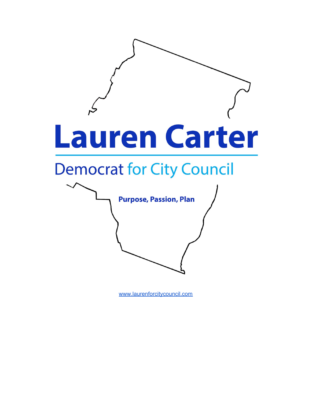

[www.laurenforcitycouncil.com](http://www.laurenforcitycouncil.com/)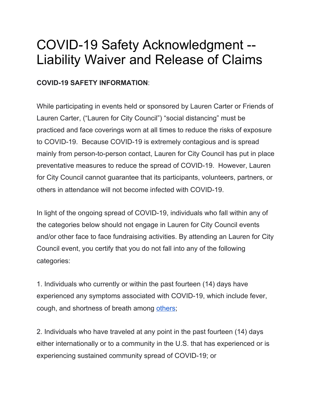# COVID-19 Safety Acknowledgment -- Liability Waiver and Release of Claims

#### **COVID-19 SAFETY INFORMATION**:

While participating in events held or sponsored by Lauren Carter or Friends of Lauren Carter, ("Lauren for City Council") "social distancing" must be practiced and face coverings worn at all times to reduce the risks of exposure to COVID-19. Because COVID-19 is extremely contagious and is spread mainly from person-to-person contact, Lauren for City Council has put in place preventative measures to reduce the spread of COVID-19. However, Lauren for City Council cannot guarantee that its participants, volunteers, partners, or others in attendance will not become infected with COVID-19.

In light of the ongoing spread of COVID-19, individuals who fall within any of the categories below should not engage in Lauren for City Council events and/or other face to face fundraising activities. By attending an Lauren for City Council event, you certify that you do not fall into any of the following categories:

1. Individuals who currently or within the past fourteen (14) days have experienced any symptoms associated with COVID-19, which include fever, cough, and shortness of breath among [others](https://www.cdc.gov/coronavirus/2019-ncov/symptoms-testing/symptoms.html);

2. Individuals who have traveled at any point in the past fourteen (14) days either internationally or to a community in the U.S. that has experienced or is experiencing sustained community spread of COVID-19; or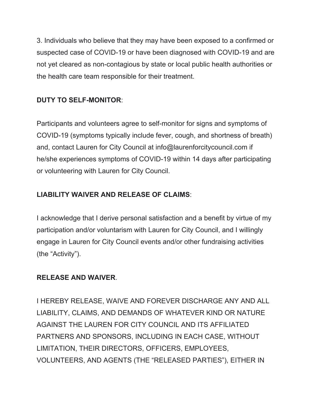3. Individuals who believe that they may have been exposed to a confirmed or suspected case of COVID-19 or have been diagnosed with COVID-19 and are not yet cleared as non-contagious by state or local public health authorities or the health care team responsible for their treatment.

### **DUTY TO SELF-MONITOR**:

Participants and volunteers agree to self-monitor for signs and symptoms of COVID-19 (symptoms typically include fever, cough, and shortness of breath) and, contact Lauren for City Council at info@laurenforcitycouncil.com if he/she experiences symptoms of COVID-19 within 14 days after participating or volunteering with Lauren for City Council.

## **LIABILITY WAIVER AND RELEASE OF CLAIMS**:

I acknowledge that I derive personal satisfaction and a benefit by virtue of my participation and/or voluntarism with Lauren for City Council, and I willingly engage in Lauren for City Council events and/or other fundraising activities (the "Activity").

### **RELEASE AND WAIVER**.

I HEREBY RELEASE, WAIVE AND FOREVER DISCHARGE ANY AND ALL LIABILITY, CLAIMS, AND DEMANDS OF WHATEVER KIND OR NATURE AGAINST THE LAUREN FOR CITY COUNCIL AND ITS AFFILIATED PARTNERS AND SPONSORS, INCLUDING IN EACH CASE, WITHOUT LIMITATION, THEIR DIRECTORS, OFFICERS, EMPLOYEES, VOLUNTEERS, AND AGENTS (THE "RELEASED PARTIES"), EITHER IN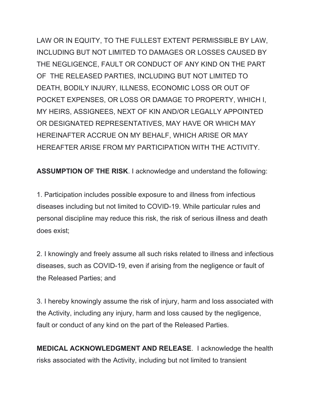LAW OR IN EQUITY, TO THE FULLEST EXTENT PERMISSIBLE BY LAW, INCLUDING BUT NOT LIMITED TO DAMAGES OR LOSSES CAUSED BY THE NEGLIGENCE, FAULT OR CONDUCT OF ANY KIND ON THE PART OF THE RELEASED PARTIES, INCLUDING BUT NOT LIMITED TO DEATH, BODILY INJURY, ILLNESS, ECONOMIC LOSS OR OUT OF POCKET EXPENSES, OR LOSS OR DAMAGE TO PROPERTY, WHICH I, MY HEIRS, ASSIGNEES, NEXT OF KIN AND/OR LEGALLY APPOINTED OR DESIGNATED REPRESENTATIVES, MAY HAVE OR WHICH MAY HEREINAFTER ACCRUE ON MY BEHALF, WHICH ARISE OR MAY HEREAFTER ARISE FROM MY PARTICIPATION WITH THE ACTIVITY.

**ASSUMPTION OF THE RISK**. I acknowledge and understand the following:

1. Participation includes possible exposure to and illness from infectious diseases including but not limited to COVID-19. While particular rules and personal discipline may reduce this risk, the risk of serious illness and death does exist;

2. I knowingly and freely assume all such risks related to illness and infectious diseases, such as COVID-19, even if arising from the negligence or fault of the Released Parties; and

3. I hereby knowingly assume the risk of injury, harm and loss associated with the Activity, including any injury, harm and loss caused by the negligence, fault or conduct of any kind on the part of the Released Parties.

**MEDICAL ACKNOWLEDGMENT AND RELEASE**. I acknowledge the health risks associated with the Activity, including but not limited to transient